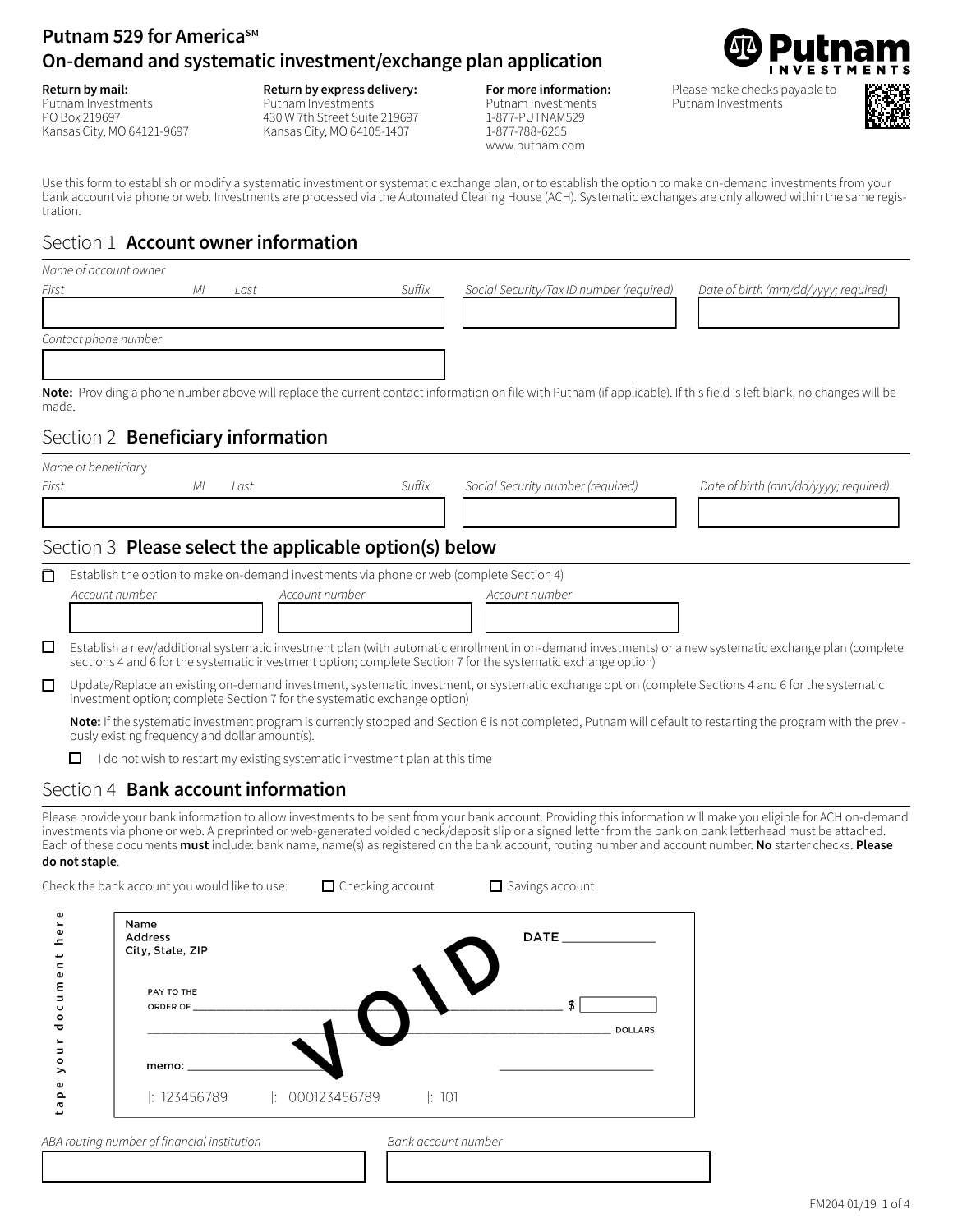# **Putnam 529 for America<sup>SM</sup> On-demand and systematic investment/exchange plan application**

**Return by mail:** Putnam Investments PO Box 219697 Kansas City, MO 64121-9697 **Return by express delivery:**

Putnam Investments 430 W 7th Street Suite 219697 Kansas City, MO 64105-1407

#### **For more information:**  Putnam Investments 1-877-PUTNAM529

1-877-788-6265 www.putnam.com

Please make checks payable to Putnam Investments



Use this form to establish or modify a systematic investment or systematic exchange plan, or to establish the option to make on-demand investments from your bank account via phone or web. Investments are processed via the Automated Clearing House (ACH). Systematic exchanges are only allowed within the same registration.

## Section 1 **Account owner information**

|                          | Name of account owner            |                                                                                          |                         |                     |                                                                                                               |                |                                                                                                                                                                                                                                                                                                                                                                                                                                                                                             |
|--------------------------|----------------------------------|------------------------------------------------------------------------------------------|-------------------------|---------------------|---------------------------------------------------------------------------------------------------------------|----------------|---------------------------------------------------------------------------------------------------------------------------------------------------------------------------------------------------------------------------------------------------------------------------------------------------------------------------------------------------------------------------------------------------------------------------------------------------------------------------------------------|
| First                    |                                  | МI<br>Last                                                                               |                         | Suffix              | Social Security/Tax ID number (required)                                                                      |                | Date of birth (mm/dd/yyyy; required)                                                                                                                                                                                                                                                                                                                                                                                                                                                        |
|                          |                                  |                                                                                          |                         |                     |                                                                                                               |                |                                                                                                                                                                                                                                                                                                                                                                                                                                                                                             |
|                          | Contact phone number             |                                                                                          |                         |                     |                                                                                                               |                |                                                                                                                                                                                                                                                                                                                                                                                                                                                                                             |
|                          |                                  |                                                                                          |                         |                     |                                                                                                               |                |                                                                                                                                                                                                                                                                                                                                                                                                                                                                                             |
|                          |                                  |                                                                                          |                         |                     |                                                                                                               |                | Note: Providing a phone number above will replace the current contact information on file with Putnam (if applicable). If this field is left blank, no changes will be                                                                                                                                                                                                                                                                                                                      |
| made.                    |                                  |                                                                                          |                         |                     |                                                                                                               |                |                                                                                                                                                                                                                                                                                                                                                                                                                                                                                             |
|                          |                                  | Section 2 Beneficiary information                                                        |                         |                     |                                                                                                               |                |                                                                                                                                                                                                                                                                                                                                                                                                                                                                                             |
|                          | Name of beneficiary              |                                                                                          |                         |                     |                                                                                                               |                |                                                                                                                                                                                                                                                                                                                                                                                                                                                                                             |
| First                    |                                  | МI<br>Last                                                                               |                         | Suffix              | Social Security number (required)                                                                             |                | Date of birth (mm/dd/yyyy; required)                                                                                                                                                                                                                                                                                                                                                                                                                                                        |
|                          |                                  |                                                                                          |                         |                     |                                                                                                               |                |                                                                                                                                                                                                                                                                                                                                                                                                                                                                                             |
|                          |                                  | Section 3 Please select the applicable option(s) below                                   |                         |                     |                                                                                                               |                |                                                                                                                                                                                                                                                                                                                                                                                                                                                                                             |
| □                        |                                  | Establish the option to make on-demand investments via phone or web (complete Section 4) |                         |                     |                                                                                                               |                |                                                                                                                                                                                                                                                                                                                                                                                                                                                                                             |
|                          |                                  | Account number                                                                           | Account number          |                     | Account number                                                                                                |                |                                                                                                                                                                                                                                                                                                                                                                                                                                                                                             |
|                          |                                  |                                                                                          |                         |                     |                                                                                                               |                |                                                                                                                                                                                                                                                                                                                                                                                                                                                                                             |
| □                        |                                  |                                                                                          |                         |                     |                                                                                                               |                | Establish a new/additional systematic investment plan (with automatic enrollment in on-demand investments) or a new systematic exchange plan (complete                                                                                                                                                                                                                                                                                                                                      |
|                          |                                  |                                                                                          |                         |                     | sections 4 and 6 for the systematic investment option; complete Section 7 for the systematic exchange option) |                |                                                                                                                                                                                                                                                                                                                                                                                                                                                                                             |
| □                        |                                  | investment option; complete Section 7 for the systematic exchange option)                |                         |                     |                                                                                                               |                | Update/Replace an existing on-demand investment, systematic investment, or systematic exchange option (complete Sections 4 and 6 for the systematic                                                                                                                                                                                                                                                                                                                                         |
|                          |                                  |                                                                                          |                         |                     |                                                                                                               |                | Note: If the systematic investment program is currently stopped and Section 6 is not completed, Putnam will default to restarting the program with the previ-                                                                                                                                                                                                                                                                                                                               |
|                          |                                  | ously existing frequency and dollar amount(s).                                           |                         |                     |                                                                                                               |                |                                                                                                                                                                                                                                                                                                                                                                                                                                                                                             |
|                          | ப                                | I do not wish to restart my existing systematic investment plan at this time             |                         |                     |                                                                                                               |                |                                                                                                                                                                                                                                                                                                                                                                                                                                                                                             |
|                          |                                  | Section 4 Bank account information                                                       |                         |                     |                                                                                                               |                |                                                                                                                                                                                                                                                                                                                                                                                                                                                                                             |
|                          | do not staple.                   |                                                                                          |                         |                     |                                                                                                               |                | Please provide your bank information to allow investments to be sent from your bank account. Providing this information will make you eligible for ACH on-demand<br>investments via phone or web. A preprinted or web-generated voided check/deposit slip or a signed letter from the bank on bank letterhead must be attached.<br>Each of these documents must include: bank name, name(s) as registered on the bank account, routing number and account number. No starter checks. Please |
|                          |                                  | Check the bank account you would like to use:                                            | $\Box$ Checking account |                     | $\Box$ Savings account                                                                                        |                |                                                                                                                                                                                                                                                                                                                                                                                                                                                                                             |
|                          | Φ                                | Name                                                                                     |                         |                     |                                                                                                               |                |                                                                                                                                                                                                                                                                                                                                                                                                                                                                                             |
|                          | $\pmb{\omega}$<br>ᇰ              | Address<br>City, State, ZIP                                                              |                         |                     | $\mathsf{DATE} \qquad \qquad \blacksquare$                                                                    |                |                                                                                                                                                                                                                                                                                                                                                                                                                                                                                             |
|                          | $\blacksquare$<br>$\pmb{\omega}$ |                                                                                          |                         |                     |                                                                                                               |                |                                                                                                                                                                                                                                                                                                                                                                                                                                                                                             |
|                          | ε<br>$\Rightarrow$               | PAY TO THE                                                                               |                         |                     |                                                                                                               |                |                                                                                                                                                                                                                                                                                                                                                                                                                                                                                             |
|                          | $\mathbf \omega$<br>۰<br>ত       | ORDER OF                                                                                 |                         |                     |                                                                                                               |                |                                                                                                                                                                                                                                                                                                                                                                                                                                                                                             |
| $\overline{\phantom{a}}$ | Б                                |                                                                                          |                         |                     |                                                                                                               | <b>DOLLARS</b> |                                                                                                                                                                                                                                                                                                                                                                                                                                                                                             |
|                          | $\circ$<br>>                     | memo: _                                                                                  |                         |                     |                                                                                                               |                |                                                                                                                                                                                                                                                                                                                                                                                                                                                                                             |
|                          | Φ<br>௨                           | : 123456789                                                                              | : 000123456789          | : 101               |                                                                                                               |                |                                                                                                                                                                                                                                                                                                                                                                                                                                                                                             |
|                          | ā                                |                                                                                          |                         |                     |                                                                                                               |                |                                                                                                                                                                                                                                                                                                                                                                                                                                                                                             |
|                          |                                  | ABA routing number of financial institution                                              |                         | Bank account number |                                                                                                               |                |                                                                                                                                                                                                                                                                                                                                                                                                                                                                                             |

4 4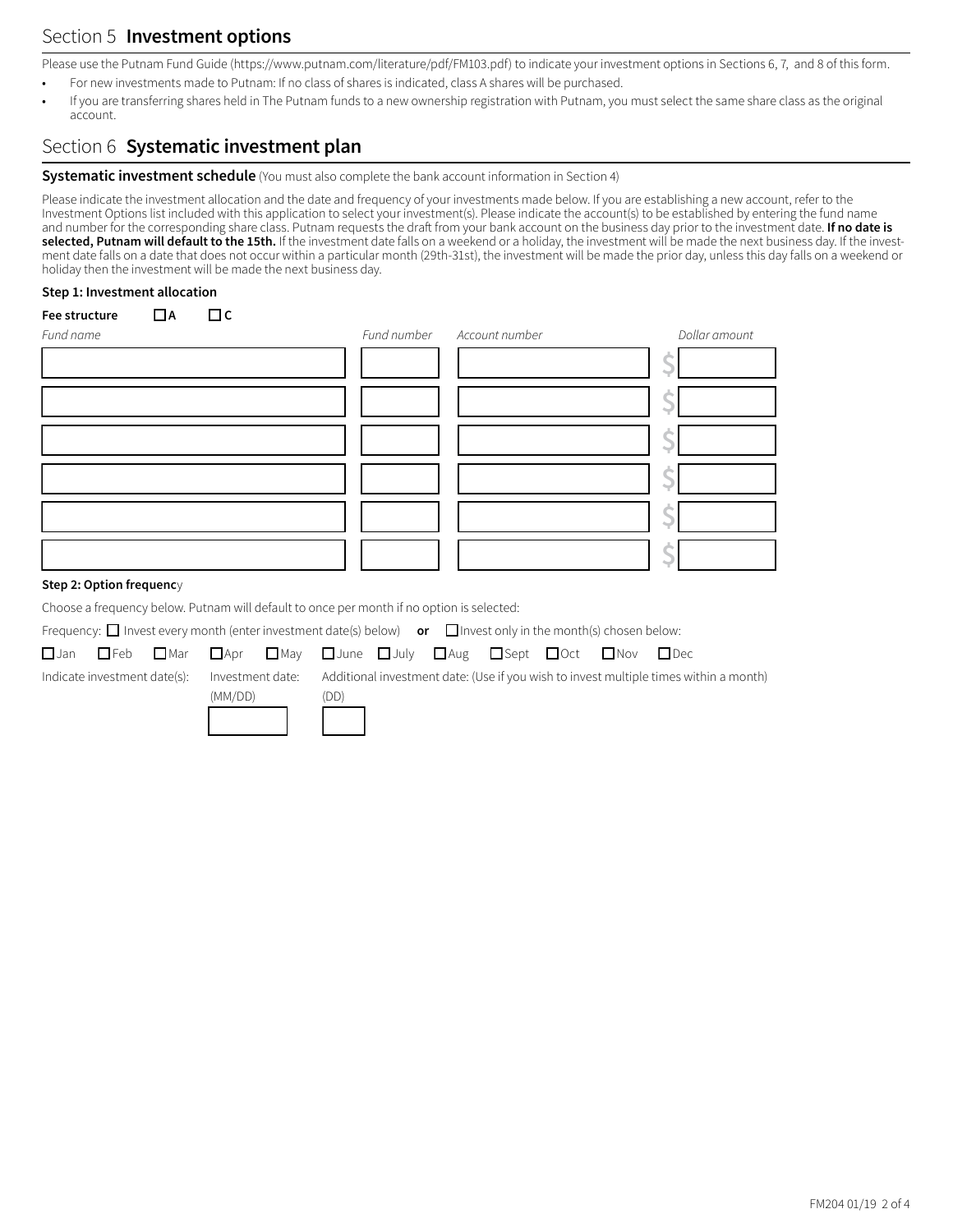# Section 5 **Investment options**

Please use the Putnam Fund Guide (https://www.putnam.com/literature/pdf/FM103.pdf) to indicate your investment options in Sections 6, 7, and 8 of this form.

- For new investments made to Putnam: If no class of shares is indicated, class A shares will be purchased.
- If you are transferring shares held in The Putnam funds to a new ownership registration with Putnam, you must select the same share class as the original account.

## Section 6 **Systematic investment plan**

**Systematic investment schedule** (You must also complete the bank account information in Section 4)

Please indicate the investment allocation and the date and frequency of your investments made below. If you are establishing a new account, refer to the Investment Options list included with this application to select your investment(s). Please indicate the account(s) to be established by entering the fund name and number for the corresponding share class. Putnam requests the draft from your bank account on the business day prior to the investment date. **If no date is**  selected, Putnam will default to the 15th. If the investment date falls on a weekend or a holiday, the investment will be made the next business day. If the investment date falls on a date that does not occur within a particular month (29th-31st), the investment will be made the prior day, unless this day falls on a weekend or holiday then the investment will be made the next business day.

#### **Step 1: Investment allocation**

| $\Box$ c<br>Fee structure<br>$\Box$ A<br>Fund name | Fund number | Account number | Dollar amount |
|----------------------------------------------------|-------------|----------------|---------------|
|                                                    |             |                |               |
|                                                    |             |                |               |
|                                                    |             |                |               |
|                                                    |             |                |               |
|                                                    |             |                |               |
|                                                    |             |                |               |

### **Step 2: Option frequenc**y

Choose a frequency below. Putnam will default to once per month if no option is selected:

Frequency:  $\Box$  Invest every month (enter investment date(s) below) **or**  $\Box$  Invest only in the month(s) chosen below:

 $(MM/DD)$ 

 $\square$ Jan  $\square$ Feb  $\square$ Mar  $\square$ Apr  $\square$ May  $\square$ June  $\square$ July  $\square$ Aug  $\square$ Sept  $\square$ Oct  $\square$ Nov  $\square$ Dec Indicate investment date(s): Investment date: Additional investment date: (Use if you wish to invest multiple times within a month)

| (MM/DD) | (DD) |
|---------|------|
|         |      |
|         |      |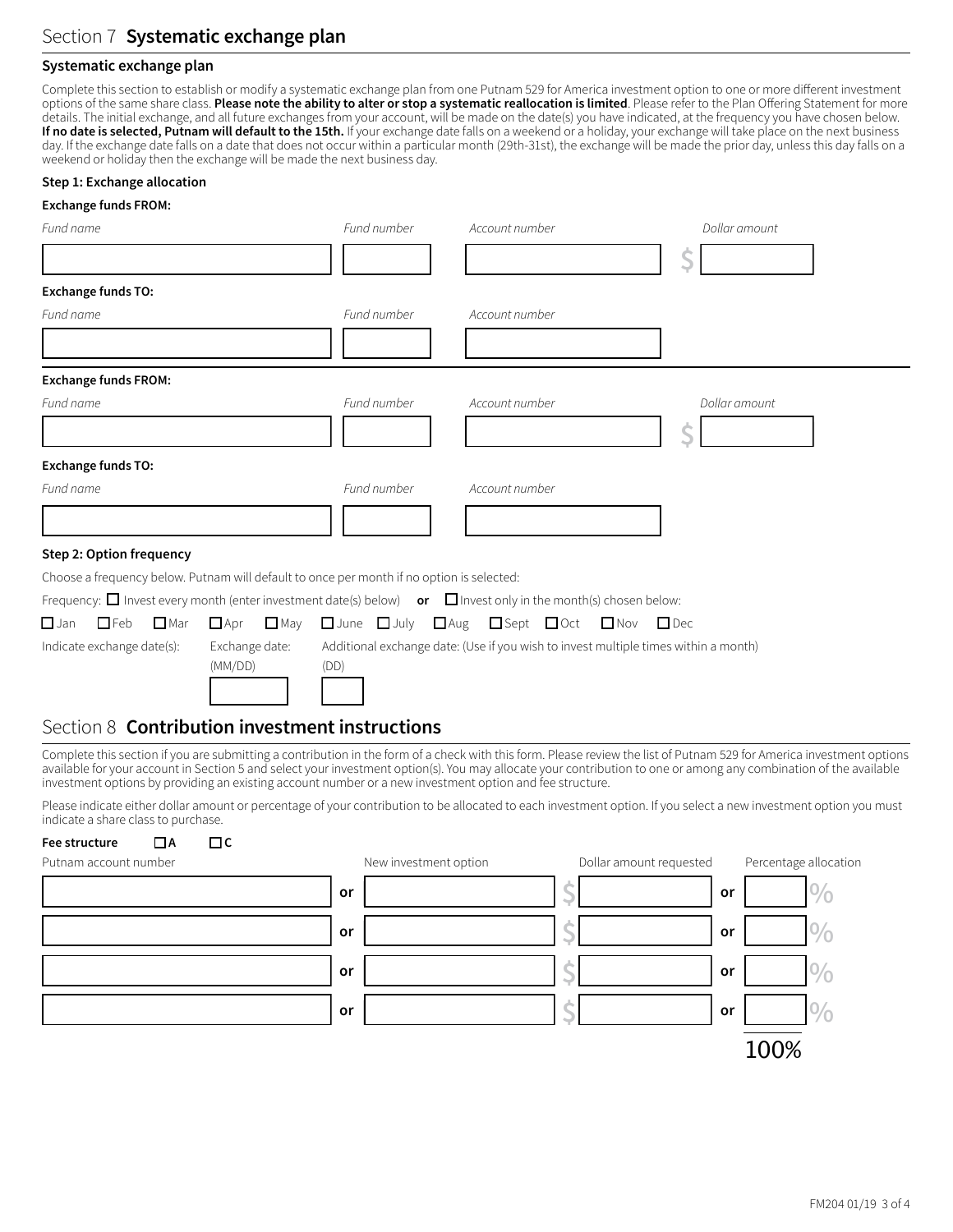### **Systematic exchange plan**

Complete this section to establish or modify a systematic exchange plan from one Putnam 529 for America investment option to one or more different investment options of the same share class. **Please note the ability to alter or stop a systematic reallocation is limited**. Please refer to the Plan Offering Statement for more details. The initial exchange, and all future exchanges from your account, will be made on the date(s) you have indicated, at the frequency you have chosen below. If no date is selected, Putnam will default to the 15th. If your exchange date falls on a weekend or a holiday, your exchange will take place on the next business day. If the exchange date falls on a date that does not occur within a particular month (29th-31st), the exchange will be made the prior day, unless this day falls on a weekend or holiday then the exchange will be made the next business day.

#### **Step 1: Exchange allocation**

#### **Exchange funds FROM:**

| Fund name                                               |               |                             | Fund number                                                                               | Account number                                                                                                            | Dollar amount |
|---------------------------------------------------------|---------------|-----------------------------|-------------------------------------------------------------------------------------------|---------------------------------------------------------------------------------------------------------------------------|---------------|
|                                                         |               |                             |                                                                                           |                                                                                                                           |               |
| <b>Exchange funds TO:</b>                               |               |                             |                                                                                           |                                                                                                                           |               |
| Fund name                                               |               |                             | Fund number                                                                               | Account number                                                                                                            |               |
|                                                         |               |                             |                                                                                           |                                                                                                                           |               |
| <b>Exchange funds FROM:</b>                             |               |                             |                                                                                           |                                                                                                                           |               |
| Fund name                                               |               |                             | Fund number                                                                               | Account number                                                                                                            | Dollar amount |
|                                                         |               |                             |                                                                                           |                                                                                                                           |               |
| <b>Exchange funds TO:</b>                               |               |                             |                                                                                           |                                                                                                                           |               |
| Fund name                                               |               |                             | Fund number                                                                               | Account number                                                                                                            |               |
|                                                         |               |                             |                                                                                           |                                                                                                                           |               |
| Step 2: Option frequency                                |               |                             |                                                                                           |                                                                                                                           |               |
|                                                         |               |                             | Choose a frequency below. Putnam will default to once per month if no option is selected: |                                                                                                                           |               |
|                                                         |               |                             |                                                                                           | Frequency: $\Box$ Invest every month (enter investment date(s) below) or $\Box$ Invest only in the month(s) chosen below: |               |
| $\square$ Jan<br>$\Box$ Feb                             | $\square$ Mar | $\square$ May<br>$\Box$ Apr |                                                                                           | □ June □ July □ Aug □ Sept □ Oct □ Nov                                                                                    | $\Box$ Dec    |
| Indicate exchange date(s):<br>Exchange date:<br>(MM/DD) |               | (DD)                        | Additional exchange date: (Use if you wish to invest multiple times within a month)       |                                                                                                                           |               |

### Section 8 **Contribution investment instructions**

Complete this section if you are submitting a contribution in the form of a check with this form. Please review the list of Putnam 529 for America investment options available for your account in Section 5 and select your investment option(s). You may allocate your contribution to one or among any combination of the available investment options by providing an existing account number or a new investment option and fee structure.

Please indicate either dollar amount or percentage of your contribution to be allocated to each investment option. If you select a new investment option you must indicate a share class to purchase.

### **Fee structure**  $\Box$  **A**  $\Box$  **C**